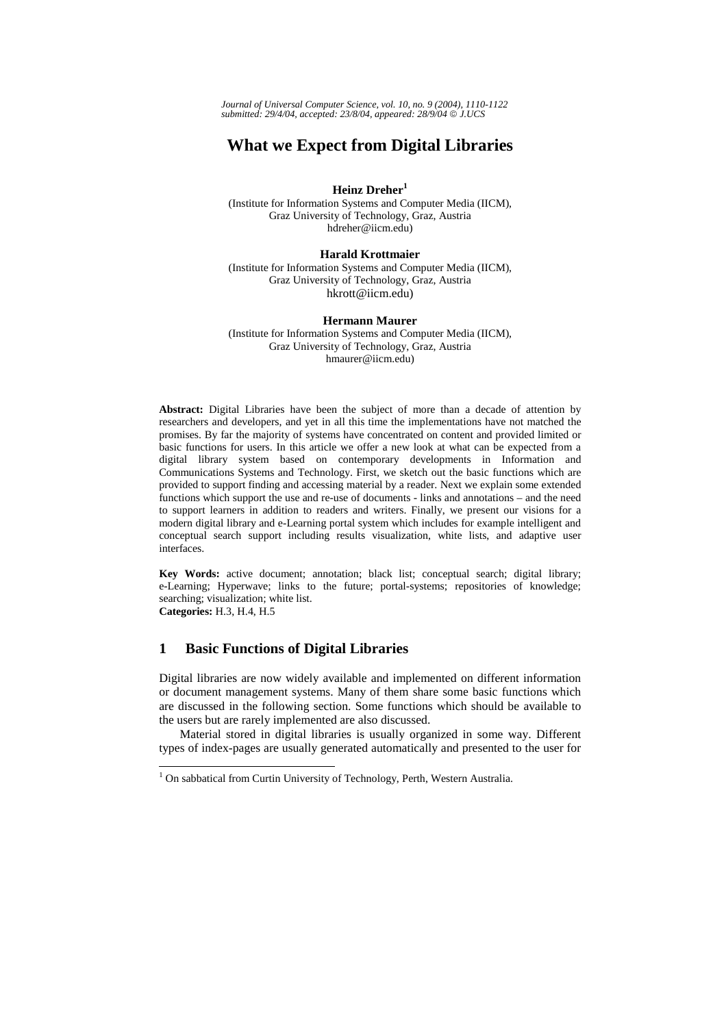*Journal of Universal Computer Science, vol. 10, no. 9 (2004), 1110-1122 submitted: 29/4/04, accepted: 23/8/04, appeared: 28/9/04* © *J.UCS*

# **What we Expect from Digital Libraries**

**Heinz Dreher<sup>1</sup>**

(Institute for Information Systems and Computer Media (IICM), Graz University of Technology, Graz, Austria hdreher@iicm.edu)

**Harald Krottmaier** 

(Institute for Information Systems and Computer Media (IICM), Graz University of Technology, Graz, Austria hkrott@iicm.edu)

#### **Hermann Maurer**

(Institute for Information Systems and Computer Media (IICM), Graz University of Technology, Graz, Austria hmaurer@iicm.edu)

**Abstract:** Digital Libraries have been the subject of more than a decade of attention by researchers and developers, and yet in all this time the implementations have not matched the promises. By far the majority of systems have concentrated on content and provided limited or basic functions for users. In this article we offer a new look at what can be expected from a digital library system based on contemporary developments in Information and Communications Systems and Technology. First, we sketch out the basic functions which are provided to support finding and accessing material by a reader. Next we explain some extended functions which support the use and re-use of documents - links and annotations – and the need to support learners in addition to readers and writers. Finally, we present our visions for a modern digital library and e-Learning portal system which includes for example intelligent and conceptual search support including results visualization, white lists, and adaptive user interfaces.

**Key Words:** active document; annotation; black list; conceptual search; digital library; e-Learning; Hyperwave; links to the future; portal-systems; repositories of knowledge; searching; visualization; white list. **Categories:** H.3, H.4, H.5

### **1 Basic Functions of Digital Libraries**

l

Digital libraries are now widely available and implemented on different information or document management systems. Many of them share some basic functions which are discussed in the following section. Some functions which should be available to the users but are rarely implemented are also discussed.

Material stored in digital libraries is usually organized in some way. Different types of index-pages are usually generated automatically and presented to the user for

<sup>&</sup>lt;sup>1</sup> On sabbatical from Curtin University of Technology, Perth, Western Australia.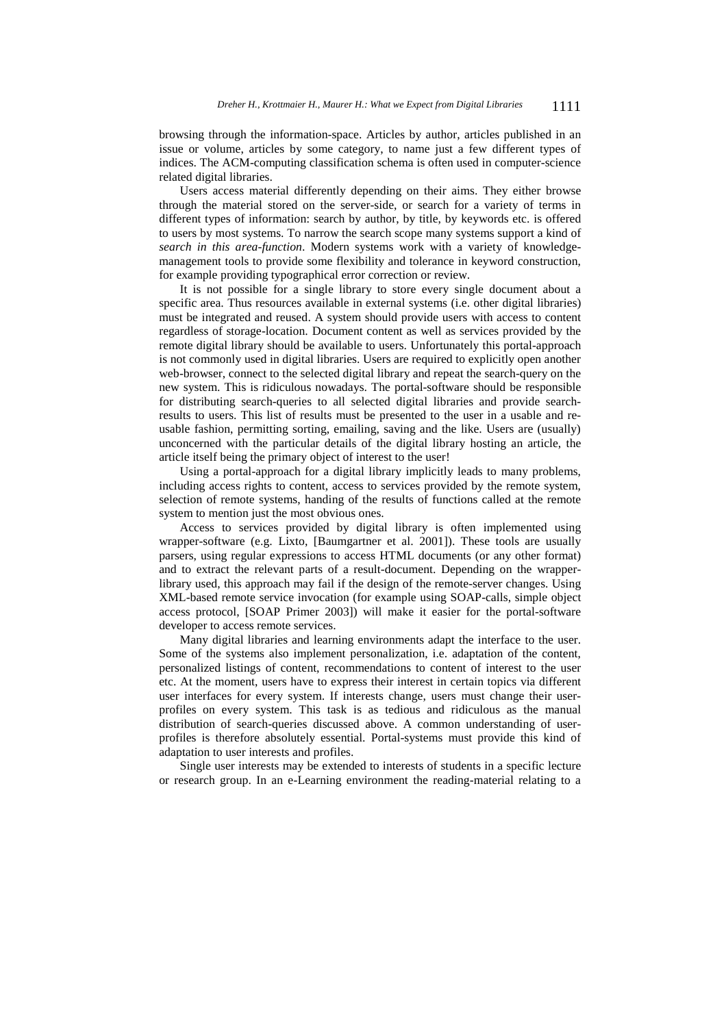browsing through the information-space. Articles by author, articles published in an issue or volume, articles by some category, to name just a few different types of indices. The ACM-computing classification schema is often used in computer-science related digital libraries.

Users access material differently depending on their aims. They either browse through the material stored on the server-side, or search for a variety of terms in different types of information: search by author, by title, by keywords etc. is offered to users by most systems. To narrow the search scope many systems support a kind of *search in this area-function*. Modern systems work with a variety of knowledgemanagement tools to provide some flexibility and tolerance in keyword construction, for example providing typographical error correction or review.

It is not possible for a single library to store every single document about a specific area. Thus resources available in external systems (i.e. other digital libraries) must be integrated and reused. A system should provide users with access to content regardless of storage-location. Document content as well as services provided by the remote digital library should be available to users. Unfortunately this portal-approach is not commonly used in digital libraries. Users are required to explicitly open another web-browser, connect to the selected digital library and repeat the search-query on the new system. This is ridiculous nowadays. The portal-software should be responsible for distributing search-queries to all selected digital libraries and provide searchresults to users. This list of results must be presented to the user in a usable and reusable fashion, permitting sorting, emailing, saving and the like. Users are (usually) unconcerned with the particular details of the digital library hosting an article, the article itself being the primary object of interest to the user!

Using a portal-approach for a digital library implicitly leads to many problems, including access rights to content, access to services provided by the remote system, selection of remote systems, handing of the results of functions called at the remote system to mention just the most obvious ones.

Access to services provided by digital library is often implemented using wrapper-software (e.g. Lixto, [Baumgartner et al. 2001]). These tools are usually parsers, using regular expressions to access HTML documents (or any other format) and to extract the relevant parts of a result-document. Depending on the wrapperlibrary used, this approach may fail if the design of the remote-server changes. Using XML-based remote service invocation (for example using SOAP-calls, simple object access protocol, [SOAP Primer 2003]) will make it easier for the portal-software developer to access remote services.

Many digital libraries and learning environments adapt the interface to the user. Some of the systems also implement personalization, i.e. adaptation of the content, personalized listings of content, recommendations to content of interest to the user etc. At the moment, users have to express their interest in certain topics via different user interfaces for every system. If interests change, users must change their userprofiles on every system. This task is as tedious and ridiculous as the manual distribution of search-queries discussed above. A common understanding of userprofiles is therefore absolutely essential. Portal-systems must provide this kind of adaptation to user interests and profiles.

Single user interests may be extended to interests of students in a specific lecture or research group. In an e-Learning environment the reading-material relating to a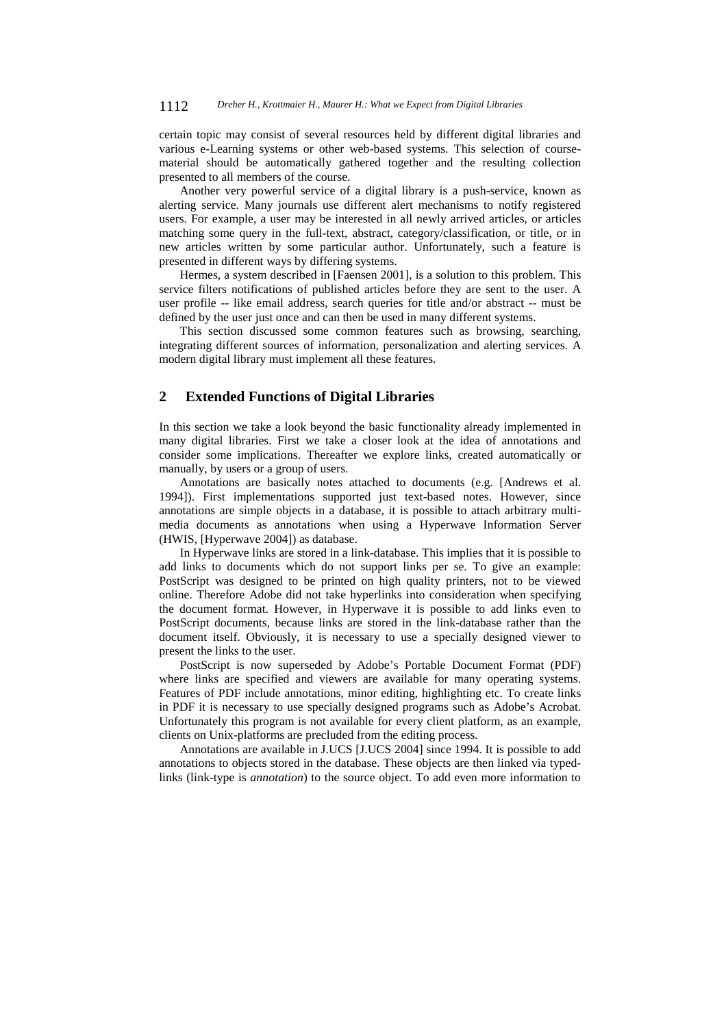certain topic may consist of several resources held by different digital libraries and various e-Learning systems or other web-based systems. This selection of coursematerial should be automatically gathered together and the resulting collection presented to all members of the course.

Another very powerful service of a digital library is a push-service, known as alerting service. Many journals use different alert mechanisms to notify registered users. For example, a user may be interested in all newly arrived articles, or articles matching some query in the full-text, abstract, category/classification, or title, or in new articles written by some particular author. Unfortunately, such a feature is presented in different ways by differing systems.

Hermes, a system described in [Faensen 2001], is a solution to this problem. This service filters notifications of published articles before they are sent to the user. A user profile -- like email address, search queries for title and/or abstract -- must be defined by the user just once and can then be used in many different systems.

This section discussed some common features such as browsing, searching, integrating different sources of information, personalization and alerting services. A modern digital library must implement all these features.

### **2 Extended Functions of Digital Libraries**

In this section we take a look beyond the basic functionality already implemented in many digital libraries. First we take a closer look at the idea of annotations and consider some implications. Thereafter we explore links, created automatically or manually, by users or a group of users.

Annotations are basically notes attached to documents (e.g. [Andrews et al. 1994]). First implementations supported just text-based notes. However, since annotations are simple objects in a database, it is possible to attach arbitrary multimedia documents as annotations when using a Hyperwave Information Server (HWIS, [Hyperwave 2004]) as database.

In Hyperwave links are stored in a link-database. This implies that it is possible to add links to documents which do not support links per se. To give an example: PostScript was designed to be printed on high quality printers, not to be viewed online. Therefore Adobe did not take hyperlinks into consideration when specifying the document format. However, in Hyperwave it is possible to add links even to PostScript documents, because links are stored in the link-database rather than the document itself. Obviously, it is necessary to use a specially designed viewer to present the links to the user.

PostScript is now superseded by Adobe's Portable Document Format (PDF) where links are specified and viewers are available for many operating systems. Features of PDF include annotations, minor editing, highlighting etc. To create links in PDF it is necessary to use specially designed programs such as Adobe's Acrobat. Unfortunately this program is not available for every client platform, as an example, clients on Unix-platforms are precluded from the editing process.

Annotations are available in J.UCS [J.UCS 2004] since 1994. It is possible to add annotations to objects stored in the database. These objects are then linked via typedlinks (link-type is *annotation*) to the source object. To add even more information to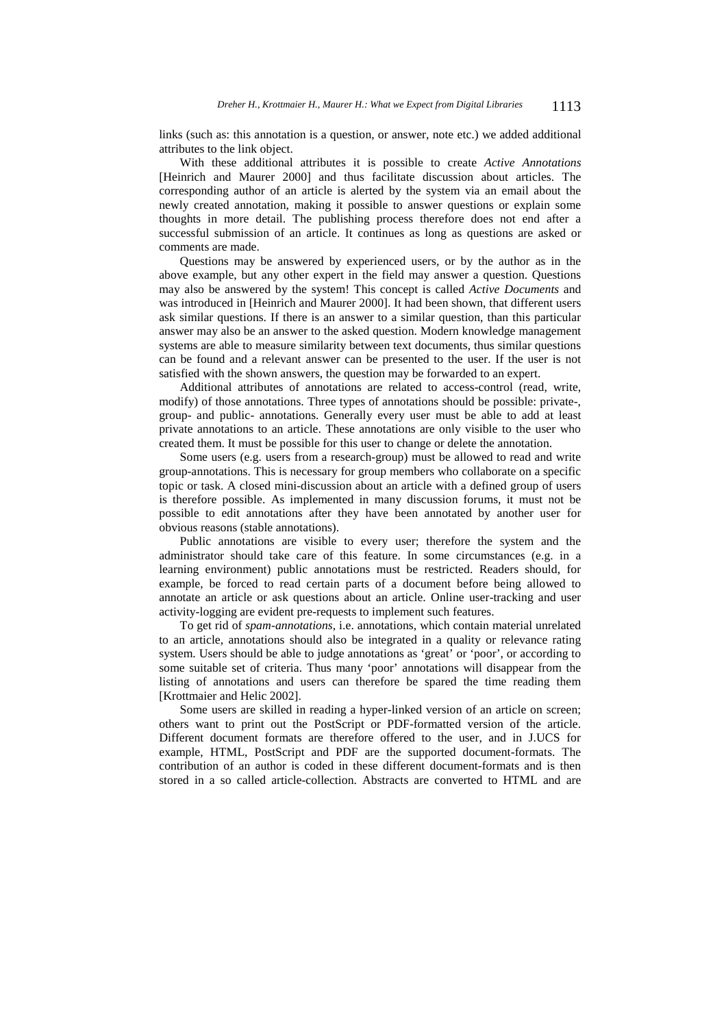links (such as: this annotation is a question, or answer, note etc.) we added additional attributes to the link object.

With these additional attributes it is possible to create *Active Annotations* [Heinrich and Maurer 2000] and thus facilitate discussion about articles. The corresponding author of an article is alerted by the system via an email about the newly created annotation, making it possible to answer questions or explain some thoughts in more detail. The publishing process therefore does not end after a successful submission of an article. It continues as long as questions are asked or comments are made.

Questions may be answered by experienced users, or by the author as in the above example, but any other expert in the field may answer a question. Questions may also be answered by the system! This concept is called *Active Documents* and was introduced in [Heinrich and Maurer 2000]. It had been shown, that different users ask similar questions. If there is an answer to a similar question, than this particular answer may also be an answer to the asked question. Modern knowledge management systems are able to measure similarity between text documents, thus similar questions can be found and a relevant answer can be presented to the user. If the user is not satisfied with the shown answers, the question may be forwarded to an expert.

Additional attributes of annotations are related to access-control (read, write, modify) of those annotations. Three types of annotations should be possible: private-, group- and public- annotations. Generally every user must be able to add at least private annotations to an article. These annotations are only visible to the user who created them. It must be possible for this user to change or delete the annotation.

Some users (e.g. users from a research-group) must be allowed to read and write group-annotations. This is necessary for group members who collaborate on a specific topic or task. A closed mini-discussion about an article with a defined group of users is therefore possible. As implemented in many discussion forums, it must not be possible to edit annotations after they have been annotated by another user for obvious reasons (stable annotations).

Public annotations are visible to every user; therefore the system and the administrator should take care of this feature. In some circumstances (e.g. in a learning environment) public annotations must be restricted. Readers should, for example, be forced to read certain parts of a document before being allowed to annotate an article or ask questions about an article. Online user-tracking and user activity-logging are evident pre-requests to implement such features.

To get rid of *spam-annotations*, i.e. annotations, which contain material unrelated to an article, annotations should also be integrated in a quality or relevance rating system. Users should be able to judge annotations as 'great' or 'poor', or according to some suitable set of criteria. Thus many 'poor' annotations will disappear from the listing of annotations and users can therefore be spared the time reading them [Krottmaier and Helic 2002].

Some users are skilled in reading a hyper-linked version of an article on screen; others want to print out the PostScript or PDF-formatted version of the article. Different document formats are therefore offered to the user, and in J.UCS for example, HTML, PostScript and PDF are the supported document-formats. The contribution of an author is coded in these different document-formats and is then stored in a so called article-collection. Abstracts are converted to HTML and are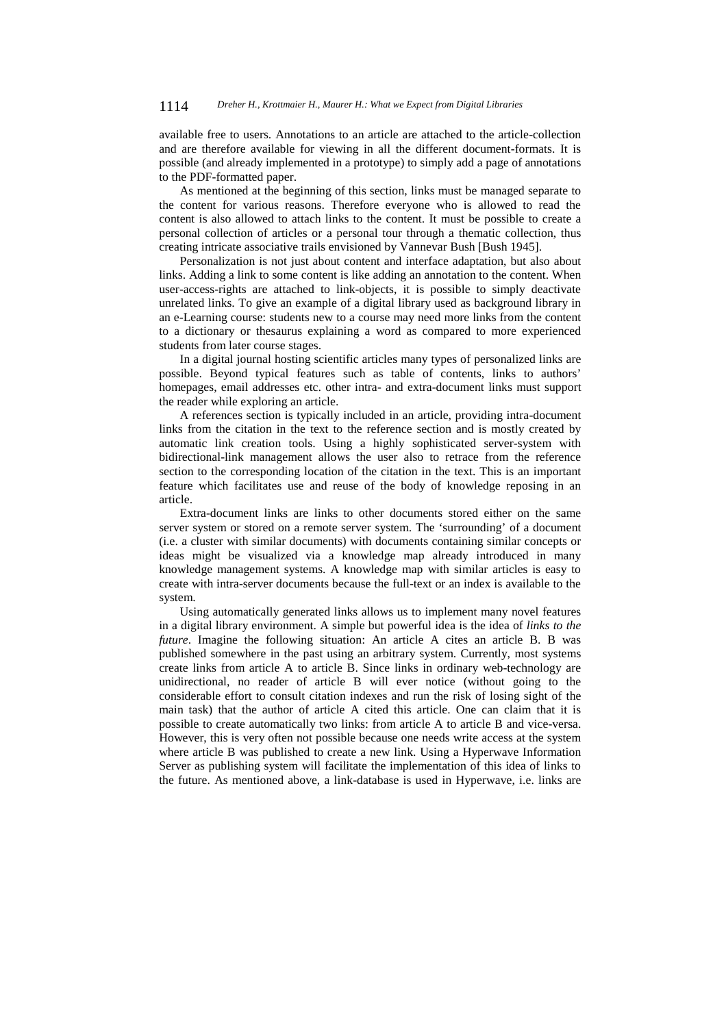available free to users. Annotations to an article are attached to the article-collection and are therefore available for viewing in all the different document-formats. It is possible (and already implemented in a prototype) to simply add a page of annotations to the PDF-formatted paper.

As mentioned at the beginning of this section, links must be managed separate to the content for various reasons. Therefore everyone who is allowed to read the content is also allowed to attach links to the content. It must be possible to create a personal collection of articles or a personal tour through a thematic collection, thus creating intricate associative trails envisioned by Vannevar Bush [Bush 1945].

Personalization is not just about content and interface adaptation, but also about links. Adding a link to some content is like adding an annotation to the content. When user-access-rights are attached to link-objects, it is possible to simply deactivate unrelated links. To give an example of a digital library used as background library in an e-Learning course: students new to a course may need more links from the content to a dictionary or thesaurus explaining a word as compared to more experienced students from later course stages.

In a digital journal hosting scientific articles many types of personalized links are possible. Beyond typical features such as table of contents, links to authors' homepages, email addresses etc. other intra- and extra-document links must support the reader while exploring an article.

A references section is typically included in an article, providing intra-document links from the citation in the text to the reference section and is mostly created by automatic link creation tools. Using a highly sophisticated server-system with bidirectional-link management allows the user also to retrace from the reference section to the corresponding location of the citation in the text. This is an important feature which facilitates use and reuse of the body of knowledge reposing in an article.

Extra-document links are links to other documents stored either on the same server system or stored on a remote server system. The 'surrounding' of a document (i.e. a cluster with similar documents) with documents containing similar concepts or ideas might be visualized via a knowledge map already introduced in many knowledge management systems. A knowledge map with similar articles is easy to create with intra-server documents because the full-text or an index is available to the system.

Using automatically generated links allows us to implement many novel features in a digital library environment. A simple but powerful idea is the idea of *links to the future*. Imagine the following situation: An article A cites an article B. B was published somewhere in the past using an arbitrary system. Currently, most systems create links from article A to article B. Since links in ordinary web-technology are unidirectional, no reader of article B will ever notice (without going to the considerable effort to consult citation indexes and run the risk of losing sight of the main task) that the author of article A cited this article. One can claim that it is possible to create automatically two links: from article A to article B and vice-versa. However, this is very often not possible because one needs write access at the system where article B was published to create a new link. Using a Hyperwave Information Server as publishing system will facilitate the implementation of this idea of links to the future. As mentioned above, a link-database is used in Hyperwave, i.e. links are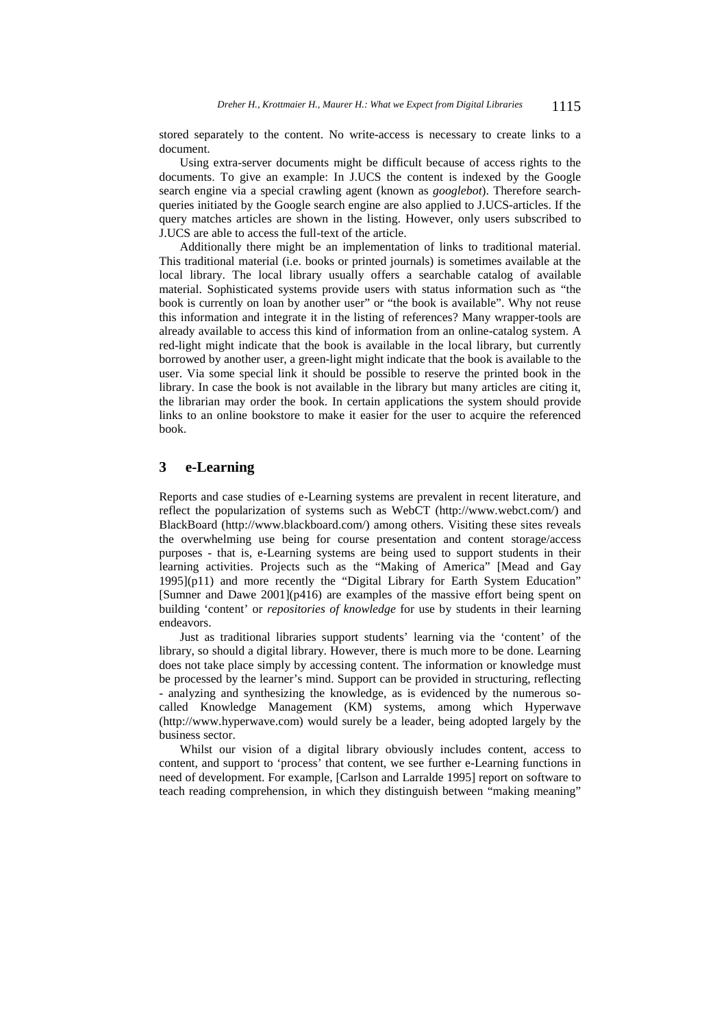stored separately to the content. No write-access is necessary to create links to a document.

Using extra-server documents might be difficult because of access rights to the documents. To give an example: In J.UCS the content is indexed by the Google search engine via a special crawling agent (known as *googlebot*). Therefore searchqueries initiated by the Google search engine are also applied to J.UCS-articles. If the query matches articles are shown in the listing. However, only users subscribed to J.UCS are able to access the full-text of the article.

Additionally there might be an implementation of links to traditional material. This traditional material (i.e. books or printed journals) is sometimes available at the local library. The local library usually offers a searchable catalog of available material. Sophisticated systems provide users with status information such as "the book is currently on loan by another user" or "the book is available". Why not reuse this information and integrate it in the listing of references? Many wrapper-tools are already available to access this kind of information from an online-catalog system. A red-light might indicate that the book is available in the local library, but currently borrowed by another user, a green-light might indicate that the book is available to the user. Via some special link it should be possible to reserve the printed book in the library. In case the book is not available in the library but many articles are citing it, the librarian may order the book. In certain applications the system should provide links to an online bookstore to make it easier for the user to acquire the referenced book.

## **3 e-Learning**

Reports and case studies of e-Learning systems are prevalent in recent literature, and reflect the popularization of systems such as WebCT (http://www.webct.com/) and BlackBoard (http://www.blackboard.com/) among others. Visiting these sites reveals the overwhelming use being for course presentation and content storage/access purposes - that is, e-Learning systems are being used to support students in their learning activities. Projects such as the "Making of America" [Mead and Gay 1995](p11) and more recently the "Digital Library for Earth System Education" [Sumner and Dawe 2001](p416) are examples of the massive effort being spent on building 'content' or *repositories of knowledge* for use by students in their learning endeavors.

Just as traditional libraries support students' learning via the 'content' of the library, so should a digital library. However, there is much more to be done. Learning does not take place simply by accessing content. The information or knowledge must be processed by the learner's mind. Support can be provided in structuring, reflecting - analyzing and synthesizing the knowledge, as is evidenced by the numerous socalled Knowledge Management (KM) systems, among which Hyperwave (http://www.hyperwave.com) would surely be a leader, being adopted largely by the business sector.

Whilst our vision of a digital library obviously includes content, access to content, and support to 'process' that content, we see further e-Learning functions in need of development. For example, [Carlson and Larralde 1995] report on software to teach reading comprehension, in which they distinguish between "making meaning"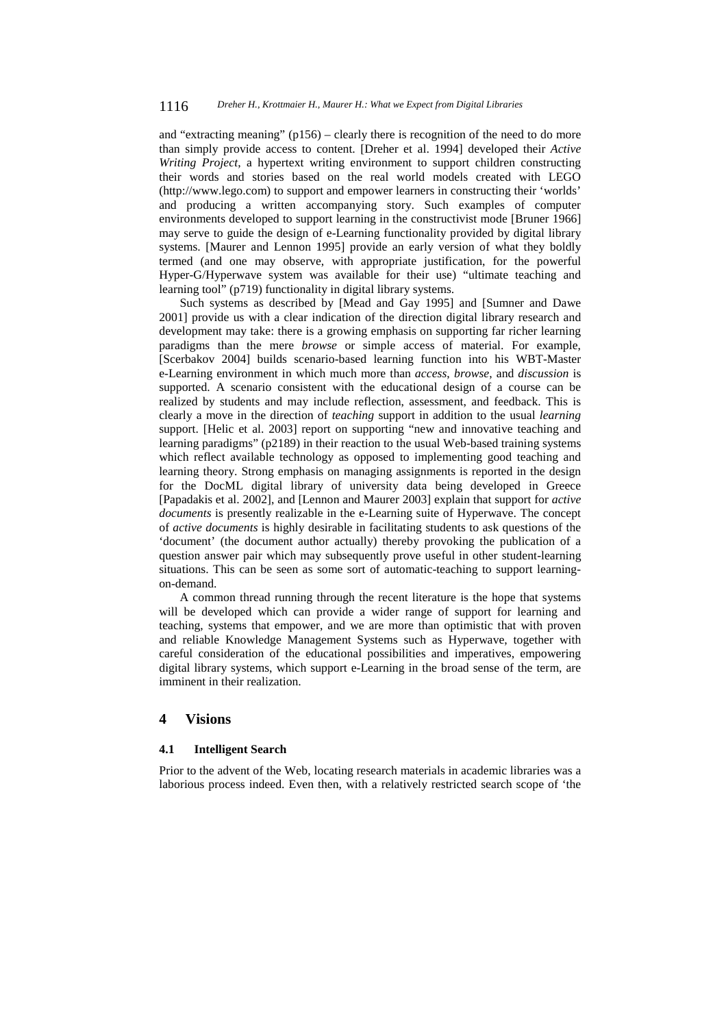and "extracting meaning" (p156) – clearly there is recognition of the need to do more than simply provide access to content. [Dreher et al. 1994] developed their *Active Writing Project*, a hypertext writing environment to support children constructing their words and stories based on the real world models created with LEGO (http://www.lego.com) to support and empower learners in constructing their 'worlds' and producing a written accompanying story. Such examples of computer environments developed to support learning in the constructivist mode [Bruner 1966] may serve to guide the design of e-Learning functionality provided by digital library systems. [Maurer and Lennon 1995] provide an early version of what they boldly termed (and one may observe, with appropriate justification, for the powerful Hyper-G/Hyperwave system was available for their use) "ultimate teaching and learning tool" (p719) functionality in digital library systems.

Such systems as described by [Mead and Gay 1995] and [Sumner and Dawe 2001] provide us with a clear indication of the direction digital library research and development may take: there is a growing emphasis on supporting far richer learning paradigms than the mere *browse* or simple access of material. For example, [Scerbakov 2004] builds scenario-based learning function into his WBT-Master e-Learning environment in which much more than *access*, *browse*, and *discussion* is supported. A scenario consistent with the educational design of a course can be realized by students and may include reflection, assessment, and feedback. This is clearly a move in the direction of *teaching* support in addition to the usual *learning* support. [Helic et al. 2003] report on supporting "new and innovative teaching and learning paradigms" (p2189) in their reaction to the usual Web-based training systems which reflect available technology as opposed to implementing good teaching and learning theory. Strong emphasis on managing assignments is reported in the design for the DocML digital library of university data being developed in Greece [Papadakis et al. 2002], and [Lennon and Maurer 2003] explain that support for *active documents* is presently realizable in the e-Learning suite of Hyperwave. The concept of *active documents* is highly desirable in facilitating students to ask questions of the 'document' (the document author actually) thereby provoking the publication of a question answer pair which may subsequently prove useful in other student-learning situations. This can be seen as some sort of automatic-teaching to support learningon-demand.

A common thread running through the recent literature is the hope that systems will be developed which can provide a wider range of support for learning and teaching, systems that empower, and we are more than optimistic that with proven and reliable Knowledge Management Systems such as Hyperwave, together with careful consideration of the educational possibilities and imperatives, empowering digital library systems, which support e-Learning in the broad sense of the term, are imminent in their realization.

### **4 Visions**

#### **4.1 Intelligent Search**

Prior to the advent of the Web, locating research materials in academic libraries was a laborious process indeed. Even then, with a relatively restricted search scope of 'the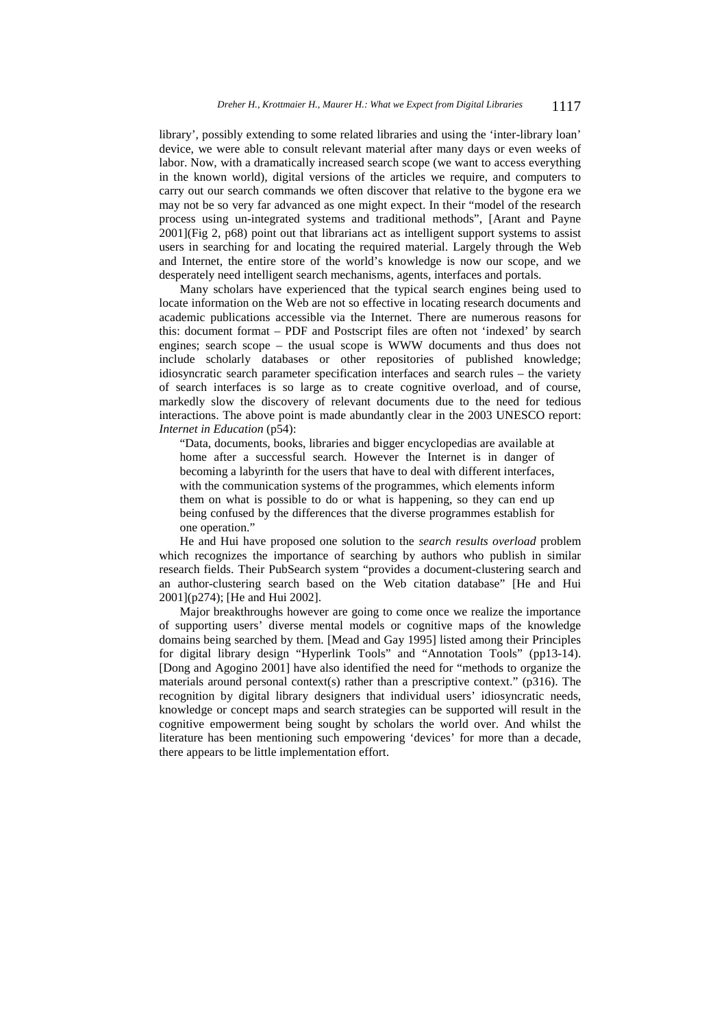library', possibly extending to some related libraries and using the 'inter-library loan' device, we were able to consult relevant material after many days or even weeks of labor. Now, with a dramatically increased search scope (we want to access everything in the known world), digital versions of the articles we require, and computers to carry out our search commands we often discover that relative to the bygone era we may not be so very far advanced as one might expect. In their "model of the research process using un-integrated systems and traditional methods", [Arant and Payne 2001](Fig 2, p68) point out that librarians act as intelligent support systems to assist users in searching for and locating the required material. Largely through the Web and Internet, the entire store of the world's knowledge is now our scope, and we desperately need intelligent search mechanisms, agents, interfaces and portals.

Many scholars have experienced that the typical search engines being used to locate information on the Web are not so effective in locating research documents and academic publications accessible via the Internet. There are numerous reasons for this: document format – PDF and Postscript files are often not 'indexed' by search engines; search scope – the usual scope is WWW documents and thus does not include scholarly databases or other repositories of published knowledge; idiosyncratic search parameter specification interfaces and search rules – the variety of search interfaces is so large as to create cognitive overload, and of course, markedly slow the discovery of relevant documents due to the need for tedious interactions. The above point is made abundantly clear in the 2003 UNESCO report: *Internet in Education* (p54):

"Data, documents, books, libraries and bigger encyclopedias are available at home after a successful search. However the Internet is in danger of becoming a labyrinth for the users that have to deal with different interfaces, with the communication systems of the programmes, which elements inform them on what is possible to do or what is happening, so they can end up being confused by the differences that the diverse programmes establish for one operation."

He and Hui have proposed one solution to the *search results overload* problem which recognizes the importance of searching by authors who publish in similar research fields. Their PubSearch system "provides a document-clustering search and an author-clustering search based on the Web citation database" [He and Hui 2001](p274); [He and Hui 2002].

Major breakthroughs however are going to come once we realize the importance of supporting users' diverse mental models or cognitive maps of the knowledge domains being searched by them. [Mead and Gay 1995] listed among their Principles for digital library design "Hyperlink Tools" and "Annotation Tools" (pp13-14). [Dong and Agogino 2001] have also identified the need for "methods to organize the materials around personal context(s) rather than a prescriptive context." ( $p316$ ). The recognition by digital library designers that individual users' idiosyncratic needs, knowledge or concept maps and search strategies can be supported will result in the cognitive empowerment being sought by scholars the world over. And whilst the literature has been mentioning such empowering 'devices' for more than a decade, there appears to be little implementation effort.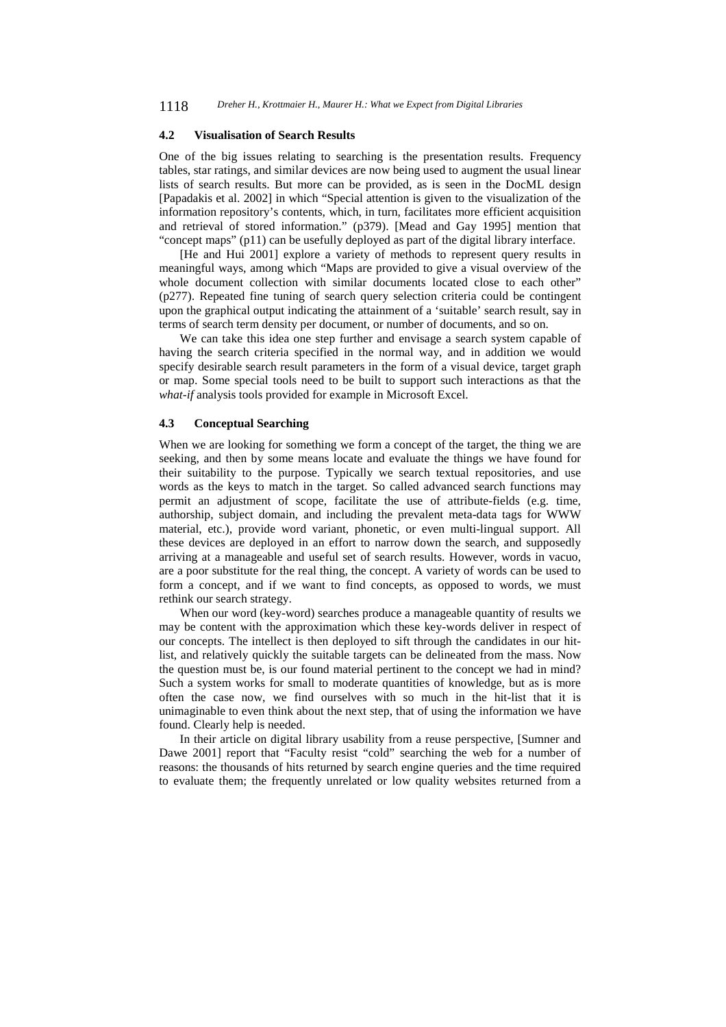#### **4.2 Visualisation of Search Results**

One of the big issues relating to searching is the presentation results. Frequency tables, star ratings, and similar devices are now being used to augment the usual linear lists of search results. But more can be provided, as is seen in the DocML design [Papadakis et al. 2002] in which "Special attention is given to the visualization of the information repository's contents, which, in turn, facilitates more efficient acquisition and retrieval of stored information." (p379). [Mead and Gay 1995] mention that "concept maps" (p11) can be usefully deployed as part of the digital library interface.

[He and Hui 2001] explore a variety of methods to represent query results in meaningful ways, among which "Maps are provided to give a visual overview of the whole document collection with similar documents located close to each other" (p277). Repeated fine tuning of search query selection criteria could be contingent upon the graphical output indicating the attainment of a 'suitable' search result, say in terms of search term density per document, or number of documents, and so on.

We can take this idea one step further and envisage a search system capable of having the search criteria specified in the normal way, and in addition we would specify desirable search result parameters in the form of a visual device, target graph or map. Some special tools need to be built to support such interactions as that the *what-if* analysis tools provided for example in Microsoft Excel.

#### **4.3 Conceptual Searching**

When we are looking for something we form a concept of the target, the thing we are seeking, and then by some means locate and evaluate the things we have found for their suitability to the purpose. Typically we search textual repositories, and use words as the keys to match in the target. So called advanced search functions may permit an adjustment of scope, facilitate the use of attribute-fields (e.g. time, authorship, subject domain, and including the prevalent meta-data tags for WWW material, etc.), provide word variant, phonetic, or even multi-lingual support. All these devices are deployed in an effort to narrow down the search, and supposedly arriving at a manageable and useful set of search results. However, words in vacuo, are a poor substitute for the real thing, the concept. A variety of words can be used to form a concept, and if we want to find concepts, as opposed to words, we must rethink our search strategy.

When our word (key-word) searches produce a manageable quantity of results we may be content with the approximation which these key-words deliver in respect of our concepts. The intellect is then deployed to sift through the candidates in our hitlist, and relatively quickly the suitable targets can be delineated from the mass. Now the question must be, is our found material pertinent to the concept we had in mind? Such a system works for small to moderate quantities of knowledge, but as is more often the case now, we find ourselves with so much in the hit-list that it is unimaginable to even think about the next step, that of using the information we have found. Clearly help is needed.

In their article on digital library usability from a reuse perspective, [Sumner and Dawe 2001] report that "Faculty resist "cold" searching the web for a number of reasons: the thousands of hits returned by search engine queries and the time required to evaluate them; the frequently unrelated or low quality websites returned from a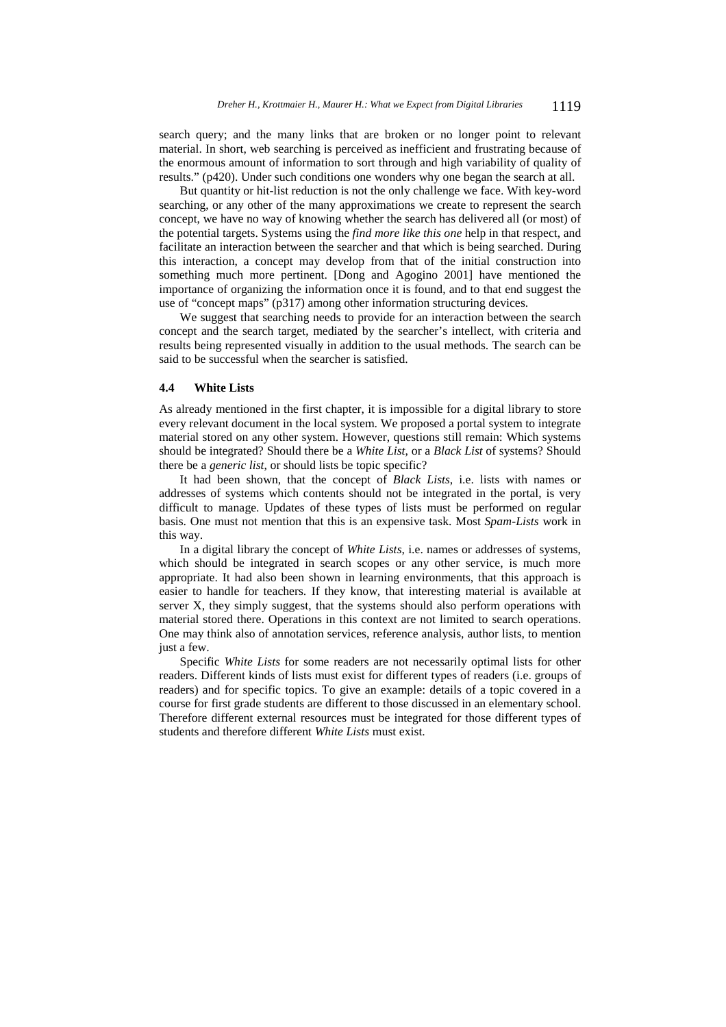search query; and the many links that are broken or no longer point to relevant material. In short, web searching is perceived as inefficient and frustrating because of the enormous amount of information to sort through and high variability of quality of results." (p420). Under such conditions one wonders why one began the search at all.

But quantity or hit-list reduction is not the only challenge we face. With key-word searching, or any other of the many approximations we create to represent the search concept, we have no way of knowing whether the search has delivered all (or most) of the potential targets. Systems using the *find more like this one* help in that respect, and facilitate an interaction between the searcher and that which is being searched. During this interaction, a concept may develop from that of the initial construction into something much more pertinent. [Dong and Agogino 2001] have mentioned the importance of organizing the information once it is found, and to that end suggest the use of "concept maps" (p317) among other information structuring devices.

We suggest that searching needs to provide for an interaction between the search concept and the search target, mediated by the searcher's intellect, with criteria and results being represented visually in addition to the usual methods. The search can be said to be successful when the searcher is satisfied.

#### **4.4 White Lists**

As already mentioned in the first chapter, it is impossible for a digital library to store every relevant document in the local system. We proposed a portal system to integrate material stored on any other system. However, questions still remain: Which systems should be integrated? Should there be a *White List*, or a *Black List* of systems? Should there be a *generic list*, or should lists be topic specific?

It had been shown, that the concept of *Black Lists*, i.e. lists with names or addresses of systems which contents should not be integrated in the portal, is very difficult to manage. Updates of these types of lists must be performed on regular basis. One must not mention that this is an expensive task. Most *Spam-Lists* work in this way.

In a digital library the concept of *White Lists*, i.e. names or addresses of systems, which should be integrated in search scopes or any other service, is much more appropriate. It had also been shown in learning environments, that this approach is easier to handle for teachers. If they know, that interesting material is available at server X, they simply suggest, that the systems should also perform operations with material stored there. Operations in this context are not limited to search operations. One may think also of annotation services, reference analysis, author lists, to mention just a few.

Specific *White Lists* for some readers are not necessarily optimal lists for other readers. Different kinds of lists must exist for different types of readers (i.e. groups of readers) and for specific topics. To give an example: details of a topic covered in a course for first grade students are different to those discussed in an elementary school. Therefore different external resources must be integrated for those different types of students and therefore different *White Lists* must exist.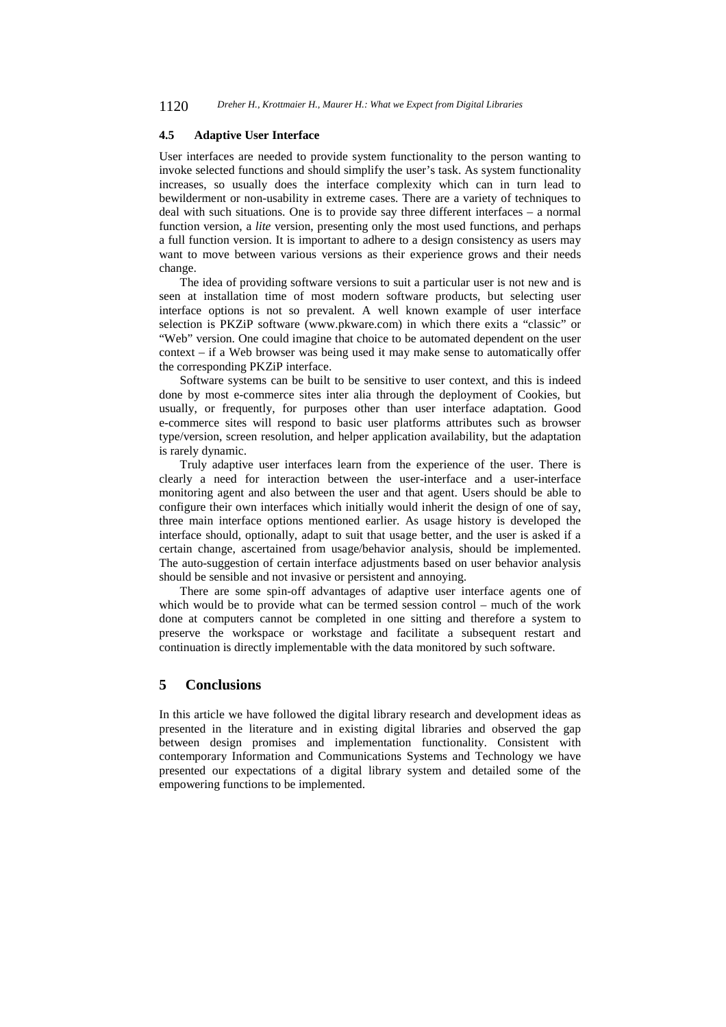1120 *Dreher H., Krottmaier H., Maurer H.: What we Expect from Digital Libraries*

#### **4.5 Adaptive User Interface**

User interfaces are needed to provide system functionality to the person wanting to invoke selected functions and should simplify the user's task. As system functionality increases, so usually does the interface complexity which can in turn lead to bewilderment or non-usability in extreme cases. There are a variety of techniques to deal with such situations. One is to provide say three different interfaces – a normal function version, a *lite* version, presenting only the most used functions, and perhaps a full function version. It is important to adhere to a design consistency as users may want to move between various versions as their experience grows and their needs change.

The idea of providing software versions to suit a particular user is not new and is seen at installation time of most modern software products, but selecting user interface options is not so prevalent. A well known example of user interface selection is PKZiP software (www.pkware.com) in which there exits a "classic" or "Web" version. One could imagine that choice to be automated dependent on the user context – if a Web browser was being used it may make sense to automatically offer the corresponding PKZiP interface.

Software systems can be built to be sensitive to user context, and this is indeed done by most e-commerce sites inter alia through the deployment of Cookies, but usually, or frequently, for purposes other than user interface adaptation. Good e-commerce sites will respond to basic user platforms attributes such as browser type/version, screen resolution, and helper application availability, but the adaptation is rarely dynamic.

Truly adaptive user interfaces learn from the experience of the user. There is clearly a need for interaction between the user-interface and a user-interface monitoring agent and also between the user and that agent. Users should be able to configure their own interfaces which initially would inherit the design of one of say, three main interface options mentioned earlier. As usage history is developed the interface should, optionally, adapt to suit that usage better, and the user is asked if a certain change, ascertained from usage/behavior analysis, should be implemented. The auto-suggestion of certain interface adjustments based on user behavior analysis should be sensible and not invasive or persistent and annoying.

There are some spin-off advantages of adaptive user interface agents one of which would be to provide what can be termed session control – much of the work done at computers cannot be completed in one sitting and therefore a system to preserve the workspace or workstage and facilitate a subsequent restart and continuation is directly implementable with the data monitored by such software.

### **5 Conclusions**

In this article we have followed the digital library research and development ideas as presented in the literature and in existing digital libraries and observed the gap between design promises and implementation functionality. Consistent with contemporary Information and Communications Systems and Technology we have presented our expectations of a digital library system and detailed some of the empowering functions to be implemented.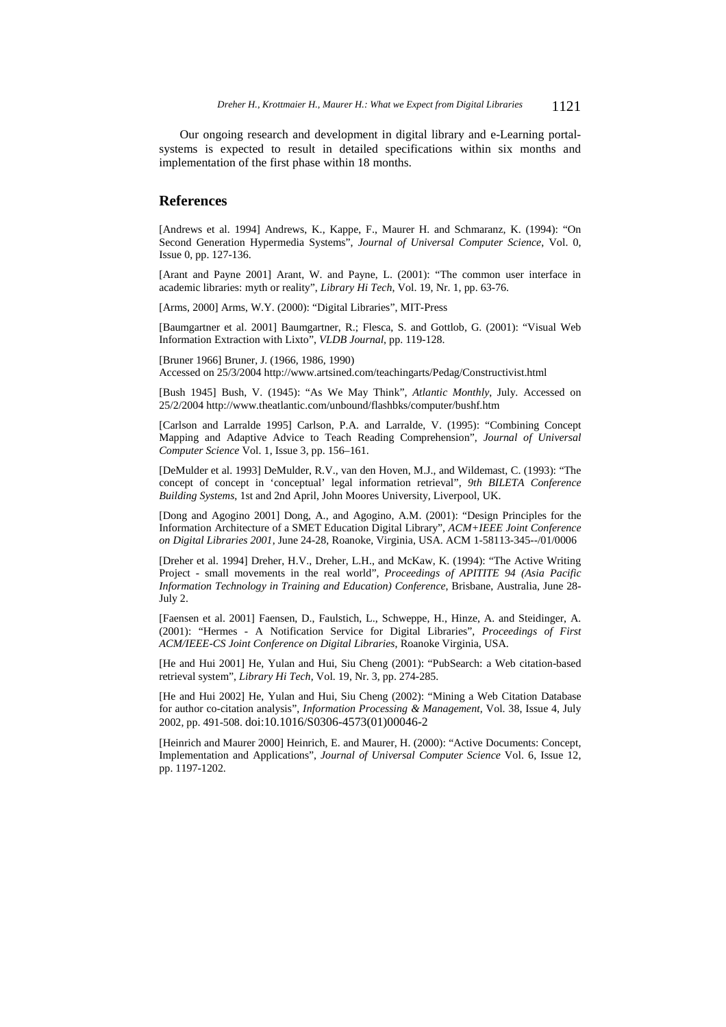Our ongoing research and development in digital library and e-Learning portalsystems is expected to result in detailed specifications within six months and implementation of the first phase within 18 months.

#### **References**

[Andrews et al. 1994] Andrews, K., Kappe, F., Maurer H. and Schmaranz, K. (1994): "On Second Generation Hypermedia Systems", *Journal of Universal Computer Science*, Vol. 0, Issue 0, pp. 127-136.

[Arant and Payne 2001] Arant, W. and Payne, L. (2001): "The common user interface in academic libraries: myth or reality", *Library Hi Tech*, Vol. 19, Nr. 1, pp. 63-76.

[Arms, 2000] Arms, W.Y. (2000): "Digital Libraries", MIT-Press

[Baumgartner et al. 2001] Baumgartner, R.; Flesca, S. and Gottlob, G. (2001): "Visual Web Information Extraction with Lixto", *VLDB Journal*, pp. 119-128.

[Bruner 1966] Bruner, J. (1966, 1986, 1990) Accessed on 25/3/2004 http://www.artsined.com/teachingarts/Pedag/Constructivist.html

[Bush 1945] Bush, V. (1945): "As We May Think", *Atlantic Monthly*, July. Accessed on 25/2/2004 http://www.theatlantic.com/unbound/flashbks/computer/bushf.htm

[Carlson and Larralde 1995] Carlson, P.A. and Larralde, V. (1995): "Combining Concept Mapping and Adaptive Advice to Teach Reading Comprehension", *Journal of Universal Computer Science* Vol. 1, Issue 3, pp. 156–161.

[DeMulder et al. 1993] DeMulder, R.V., van den Hoven, M.J., and Wildemast, C. (1993): "The concept of concept in 'conceptual' legal information retrieval", *9th BILETA Conference Building Systems*, 1st and 2nd April, John Moores University, Liverpool, UK.

[Dong and Agogino 2001] Dong, A., and Agogino, A.M. (2001): "Design Principles for the Information Architecture of a SMET Education Digital Library", *ACM+IEEE Joint Conference on Digital Libraries 2001*, June 24-28, Roanoke, Virginia, USA. ACM 1-58113-345--/01/0006

[Dreher et al. 1994] Dreher, H.V., Dreher, L.H., and McKaw, K. (1994): "The Active Writing Project - small movements in the real world", *Proceedings of APITITE 94 (Asia Pacific Information Technology in Training and Education) Conference*, Brisbane, Australia, June 28- July 2.

[Faensen et al. 2001] Faensen, D., Faulstich, L., Schweppe, H., Hinze, A. and Steidinger, A. (2001): "Hermes - A Notification Service for Digital Libraries", *Proceedings of First ACM/IEEE-CS Joint Conference on Digital Libraries*, Roanoke Virginia, USA.

[He and Hui 2001] He, Yulan and Hui, Siu Cheng (2001): "PubSearch: a Web citation-based retrieval system", *Library Hi Tech*, Vol. 19, Nr. 3, pp. 274-285.

[He and Hui 2002] He, Yulan and Hui, Siu Cheng (2002): "Mining a Web Citation Database for author co-citation analysis", *Information Processing & Management*, Vol. 38, Issue 4, July 2002, pp. 491-508. doi:10.1016/S0306-4573(01)00046-2

[Heinrich and Maurer 2000] Heinrich, E. and Maurer, H. (2000): "Active Documents: Concept, Implementation and Applications", *Journal of Universal Computer Science* Vol. 6, Issue 12, pp. 1197-1202.